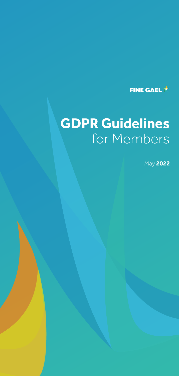

# **GDPR Guidelines** for Members

May **2022**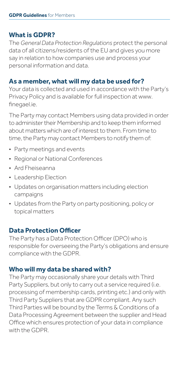# **What is GDPR?**

The *General Data Protection Regulations* protect the personal data of all citizens/residents of the EU and gives you more say in relation to how companies use and process your personal information and data.

## **As a member, what will my data be used for?**

Your data is collected and used in accordance with the Party's Privacy Policy and is available for full inspection at www. finegael.ie.

The Party may contact Members using data provided in order to administer their Membership and to keep them informed about matters which are of interest to them. From time to time, the Party may contact Members to notify them of:

- Party meetings and events
- Regional or National Conferences
- Ard Fheiseanna
- Leadership Election
- Updates on organisation matters including election campaigns
- Updates from the Party on party positioning, policy or topical matters

# **Data Protection Officer**

The Party has a Data Protection Officer (DPO) who is responsible for overseeing the Party's obligations and ensure compliance with the GDPR.

# **Who will my data be shared with?**

The Party may occasionally share your details with Third Party Suppliers, but only to carry out a service required (i.e. processing of membership cards, printing etc.) and only with Third Party Suppliers that are GDPR compliant. Any such Third Parties will be bound by the Terms & Conditions of a Data Processing Agreement between the supplier and Head Office which ensures protection of your data in compliance with the GDPR.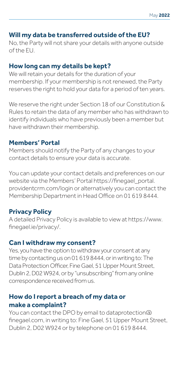#### **Will my data be transferred outside of the EU?**

No, the Party will not share your details with anyone outside of the EU.

### **How long can my details be kept?**

We will retain your details for the duration of your membership. If your membership is not renewed, the Party reserves the right to hold your data for a period of ten years.

We reserve the right under Section 18 of our Constitution & Rules to retain the data of any member who has withdrawn to identify individuals who have previously been a member but have withdrawn their membership.

#### **Members' Portal**

Members should notify the Party of any changes to your contact details to ensure your data is accurate.

You can update your contact details and preferences on our website via the Members' Portal https://finegael\_portal. providentcrm.com/login or alternatively you can contact the Membership Department in Head Office on 01 619 8444.

## **Privacy Policy**

A detailed Privacy Policy is available to view at https://www. finegael.ie/privacy/.

#### **Can I withdraw my consent?**

Yes, you have the option to withdraw your consent at any time by contacting us on 01 619 8444, or in writing to: The Data Protection Officer, Fine Gael, 51 Upper Mount Street, Dublin 2, D02 W924, or by "unsubscribing" from any online correspondence received from us.

## **How do I report a breach of my data or make a complaint?**

You can contact the DPO by email to dataprotection@ finegael.com, in writing to: Fine Gael, 51 Upper Mount Street, Dublin 2, D02 W924 or by telephone on 01 619 8444.